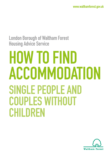## **London Borough of Waltham Forest Housing Advice Service**

# **HOW TO FIND ACCOMMODATION SINGLE PEOPLE AND COUPLES WITHOUT CHILDREN**

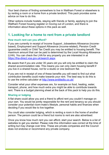Your best chance of finding somewhere to live in Waltham Forest or elsewhere is by renting a room or a home from a private landlord. This pack provides some advice on how to do this.

Other options include hostels, staying with friends or family, applying to join the Waltham Forest housing register or moving out of London, and there is information about these options in this pack as well.

## **1. Looking for a home to rent from a private landlord**

#### **How much rent can you afford?**

If you are currently in receipt of Income Support, Jobseekers Allowance (incomebased), Employment and Support Allowance (income-related), Pension Credit (guarantee credit) or Child Tax Credit you may be entitled to housing benefit. The maximum amount that can be paid is determined by the Local Housing Allowance (LHA). You can check the LHA for any property you are interested in at <https://lha-direct.voa.gov.uk/search.aspx>

Be aware that if you are under 35 years old you will only be entitled to claim the shared accommodation rate. This means you can only claim housing benefit if you live in a shared house, not for a studio or one bedroom flat.

If you are not in receipt of one of these benefits you will need to find out what contribution benefits could make towards your rent. The best way to do this is to use the online calculator at <http://www.entitledto.co.uk/>

Consider what your other expenses are, for example on food, heating, water, transport, phone, and how much extra you might be able to contribute towards rent. There is a budget planning sheet at the back of this pack to help you do this.

#### **Sharing or lodging**

A flat share could allow you and a friend to afford rent you couldn't manage on your own. You would be jointly responsible for the rent and tenancy so you should consider your potential room-mate's lifestyle, personal habits and finances when deciding if you would like to live together.

You could also consider lodging, which is renting a room in the home of another person. The person could be a friend but rooms to rent are also advertised.

Once you know how much rent you can afford, start your search. Below is a list of websites to get you started. Please note this information was correct at the time of writing but may change over time. These are private companies and the Council does not endorse or recommend any private company.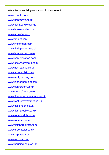Websites advertising rooms and homes to rent:

[www.zoopla.co.uk](http://www.zoopla.co.uk) 

[www.rightmove.co.uk](http://www.rightmove.co.uk) 

[www.fish4.co.uk/lettings](http://www.fish4.co.uk/lettings)

[www.houseladder.co.uk](http://www.houseladder.co.uk)

[www.moveflat.com](http://www.moveflat.com)

[www.froglet.com](http://www.froglet.com)

[www.intolondon.com](http://www.intolondon.com)

[www.findaproperty.co.uk](http://www.findaproperty.co.uk)

[www.hbaccepted.co.uk](http://www.hbaccepted.co.uk)

[www.primelocation.com](http://www.primelocation.com)

[www.easyroommate.com](http://www.easyroommate.com)

[www.net-lettings.co.uk](http://www.net-lettings.co.uk)

[www.aroomtolet.co.uk](http://www.aroomtolet.co.uk)

[www.reallymoving.com](http://www.reallymoving.com)

[www.londonhomelet.com](http://www.londonhomelet.com)

[www.spareroom.co.uk](http://www.spareroom.co.uk)

[www.simple2rent.co.uk](http://www.simple2rent.co.uk)

[www.thepropertycompany.co.uk](http://www.thepropertycompany.co.uk)

[www.rent-let.vivastreet.co.uk](http://www.rent-let.vivastreet.co.uk)

[www.dsslondon.co.uk](http://www.dsslondon.co.uk)

[www.flatmateclick.co.uk](http://www.flatmateclick.co.uk)

[www.roombuddies.com](http://www.roombuddies.com)

[www.roomster.com](http://www.roomster.com)

[www.flatsharedirect.com](http://www.flatsharedirect.com)

[www.aroomtolet.co.uk](http://www.aroomtolet.co.uk)

[www.zapmeta.com](http://www.zapmeta.com)

[www.u-room.com](http://www.u-room.com)

[www.housing-help.co.uk](http://www.housing-help.co.uk)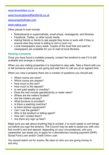#### [www.tenantstips.co.uk](http://www.tenantstips.co.uk)

[www.housingbenefitlandlords.co.uk](http://www.housingbenefitlandlords.co.uk)

[www.propertyfinder.com](http://www.propertyfinder.com)

#### [www.vebra.com](http://www.vebra.com)

Other places to look include:

- **•** Noticeboards in supermarkets, small shops, newsagents, and libraries.
- **•** Facebook, Twitter, or other social media.
- **•** Asking friends or family to ask people they know or work with if they or anyone else they know is willing to rent a room out.
- **•** Local newspapers every week. Copies of the local free and paid for newspapers are available for you to read at local libraries.

#### **Viewing a property**

Once you have found a suitable property, contact the landlord to see if it is still available and arrange a viewing.

When you are visiting properties it is important to stay safe. Take a friend with you or tell someone where you are going and ask them to call you at an agreed time.

When you view a property there are a number of questions you should ask:

- **•** Which rooms are mine?
- **•** Which rooms are shared?
- **•** How much is the rent?
- **•** How much is the deposit?
- **•** Is rent paid weekly or monthly?
- **•** Does the rent include gas/electricity or water rates?
- **•** Where are the meters located?
- **•** Are the meters pre-pay?
- **•** What furniture is provided?
- **•** Is there a washing machine?
- Is there kitchen equipment?
- **•** Can I use the garden?
- **•** Who is the landlord or letting agent?
- **•** How will I contact them?
- **•** Are there any sign up fees?

Make sure you ask about anything that is unclear, it is much easier to sort things out before you sign the tenancy. The Council may be able to assist you with your first month's rent and deposit, depending on your circumstances, and your caseworker can assist you to apply for a discretionary housing payment (DHP), Social Fund Loan and/or Credit Union Loan.

You should watch out for scams. Be clear on who you are giving money to and why.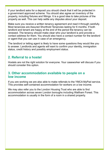If your landlord asks for a deposit you should check that it will be protected in a government approved scheme. You should also agree an inventory of the property, including fixtures and fittings. It is a good idea to take pictures of the property as well. This can help settle any disputes about your deposit.

Make sure you receive a written tenancy agreement and read it through carefully. Most tenancies are Assured Shorthold Tenancies lasting for 6 months. If both landlord and tenant are happy at the end of the period the tenancy can be renewed. The tenancy should make clear who your landlord is and provide a contact address for them. You should also have a contact number for the landlord or agent that you can use in case of an emergency.

The landlord or letting agent is likely to have some questions they would like you to answer. Landlords and agents will want to confirm your identity, immigration status, credit history and possibly employment status.

## **2. Referral to a hostel**

Hostels are not the right solution for everyone. Your caseworker will discuss if you should consider this option.

## **3. Other accommodation available to people on a low income**

If you are working we are also able to make referrals to the YMCA MyPad service. This provides self-contained accommodation for workers on a low income.

We may also refer you to the London Housing Trust who are able to find accommodation across seven London boroughs including Waltham Forest. This accommodation is usually in the form of a room in a shared property.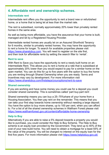## **4. Affordable rent and ownership schemes.**

#### **Intermediate rent**

Intermediate rent offers you the opportunity to rent a brand new or refurbished home, or a home that is being let at less than the market rate.

The rent is subsidised, normally approximately 20% lower than privately rented homes in the same area.

As well as being more affordable, you have the assurance that your home is built, managed and let by a Registered Housing Provider.

Intermediate rented homes are usually let on an Assured Shorthold Tenancy for 6 months, similar to privately rented homes. You may have the opportunity to rent a home for longer. To search for available properties please visit <https://www.sharetobuy.com>. You will need to register on the site first, and then look for affordable rents by setting the search filter to 'rental'.

#### **Rent to save**

With Rent to Save you have the opportunity to rent a newly built home on an Intermediate Rent. This allows you to rent a home at a rate that is subsidised at approximately 20% lower than you would expect to pay for a similar home on the open market. You can do this for up to five years with the option to buy the home you are renting through Shared Ownership when you are ready. Terms and incentives may vary by development. For more information visit <https://www.sharetobuy.com/firststeps/youroptions/rent-to-save>

#### **Shared ownership**

If you are working and have some money you could use for a deposit you could consider shared ownership. This is sometimes called 'part buy-part rent'.

Shared ownership means you can buy a 25–75%share of your home from a Housing Association. You then pay rent on the remainder. This means that you can take your first step towards home ownership without needing a large deposit. You have the option to buy more shares, up to 100 per cent, when you can afford to. For a list of all the shared ownership schemes in Waltham Forest please visit <https://www.walthamforest.gov.uk/content/affordable-home-ownership>

#### **Help to Buy**

Alternatively if you are able to raise a 5% deposit towards a property you would like to purchase, you could consider the Help to Buy Scheme. The Help to Buy scheme is an equity loan provided by the Government. They lend up to 40% of the cost of your new build home. You will need to obtain a mortgage for a least 55% of the value of the property. You will be charged no interest on the equity loan for the first five years. For more information please visit<https://www.helptobuy.gov.uk/>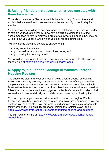## **5. Asking friends or relatives whether you can stay with them for a while**

Think about relatives or friends who might be able to help. Contact them and explain that you need to find somewhere to live and ask if you could stay for a while.

Your caseworker is willing to ring any friends or relatives you nominate in order to explain your situation: if they know how difficult it is going to be to find accommodation to rent in Waltham Forest or elsewhere in London they may be willing to put you up for a while whilst you look for something else.

Tell any friends they may be able to charge rent if:

- **•** they are not a relative,
- **•** you would have your own room in their home, and
- **•** you qualify for housing benefit.

You would be able to pay them the local housing allowance rate. This can be found online at <https://lha-direct.voa.gov.uk/search.aspx>

## **6. Apply to join London Borough of Waltham Forest's Housing Register**

You should be clear that your chances of being offered Council or Housing Association property are very low because of the number of single homeless people wanting accommodation and the small number of properties available. Don't just register and assume you will be offered accommodation, you need to follow the other options we have suggested in this leaflet as well in order to find somewhere to live, realistically a privately rented home is your best option.

You can register if you have an address in the London Borough of Waltham Forest and have been living in this borough for a minimum time period. If you do not then you can register if you are able to find somewhere to stay for now with family or friends. The eligibility criteria for joining the register is available at <https://www.walthamforest.gov.uk/content/housing-policies-and-guidance>

You can register online at [https://www.walthamforest.gov.uk/content/apply](https://www.walthamforest.gov.uk/content/apply-council-housing)[council-housing](https://www.walthamforest.gov.uk/content/apply-council-housing)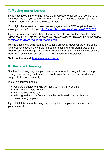## **7. Moving out of London**

If you have looked into renting in Waltham Forest or other areas of London and have decided that you cannot afford the rents, you may be considering a move out of London to an area where rents are lower.

You might like to use this interactive webpage from the BBC to get an idea of areas you can afford to rent. [http://www.bbc.co.uk/news/business-](http://www.bbc.co.uk/news/business-23234033)23234033

If you are claiming housing benefit you will need to find out the Local Housing Allowance (LHA) Rate for the areas you are considering. This can be found online at <https://lha-direct.voa.gov.uk/search.aspx>

Moving a long way away can be a daunting prospect. However there are some landlords who specialise in helping people relocating to different parts of the country. One such company is AMPR. They have properties available across the North East of England and offer a relocation service to assist you.

To find out more visit [http://www.amrp.co.uk/](http://www.amrp.co.uk)

## **8. Sheltered Housing**

Sheltered Housing may suit you if you're looking for housing with some support. This type of housing is intended for people aged 50 or over who need some support to live independently.

We give priority to people:

- **•** who are disabled or living with long-term health problems
- **•** living in unsuitable homes
- **•** who are socially isolated
- **•** wishing to downsize from a council or registered provider (housing association) property

If you think this type of housing may be right for you please discuss this with your caseworker.